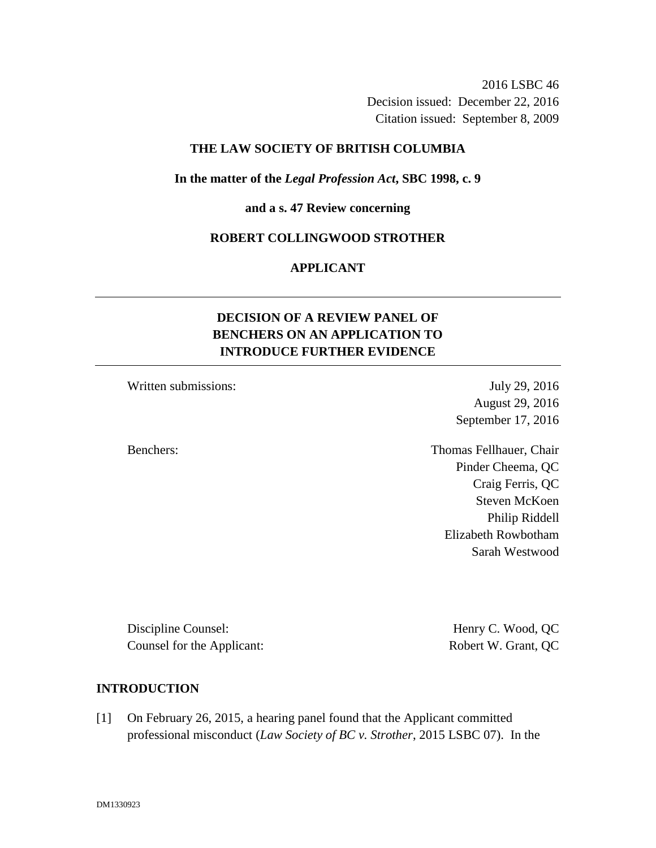2016 LSBC 46 Decision issued: December 22, 2016 Citation issued: September 8, 2009

## **THE LAW SOCIETY OF BRITISH COLUMBIA**

## **In the matter of the** *Legal Profession Act***, SBC 1998, c. 9**

#### **and a s. 47 Review concerning**

### **ROBERT COLLINGWOOD STROTHER**

# **APPLICANT**

# **DECISION OF A REVIEW PANEL OF BENCHERS ON AN APPLICATION TO INTRODUCE FURTHER EVIDENCE**

Written submissions: July 29, 2016

August 29, 2016 September 17, 2016

Benchers: Thomas Fellhauer, Chair Pinder Cheema, QC Craig Ferris, QC Steven McKoen Philip Riddell Elizabeth Rowbotham Sarah Westwood

Discipline Counsel: Henry C. Wood, QC Counsel for the Applicant: Robert W. Grant, QC

## **INTRODUCTION**

[1] On February 26, 2015, a hearing panel found that the Applicant committed professional misconduct (*Law Society of BC v. Strother*, 2015 LSBC 07). In the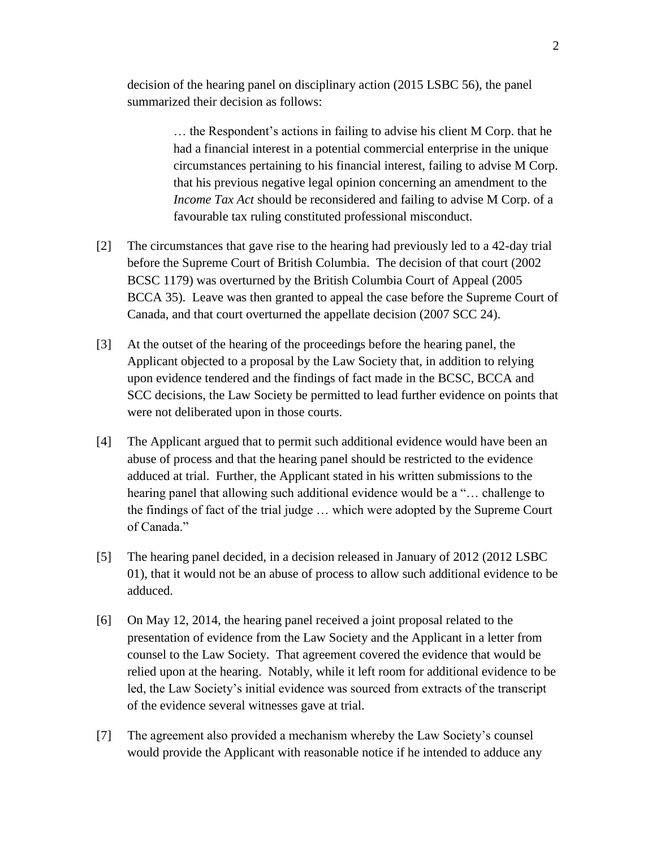decision of the hearing panel on disciplinary action (2015 LSBC 56), the panel summarized their decision as follows:

> … the Respondent's actions in failing to advise his client M Corp. that he had a financial interest in a potential commercial enterprise in the unique circumstances pertaining to his financial interest, failing to advise M Corp. that his previous negative legal opinion concerning an amendment to the *Income Tax Act* should be reconsidered and failing to advise M Corp. of a favourable tax ruling constituted professional misconduct.

- [2] The circumstances that gave rise to the hearing had previously led to a 42-day trial before the Supreme Court of British Columbia. The decision of that court (2002 BCSC 1179) was overturned by the British Columbia Court of Appeal (2005 BCCA 35). Leave was then granted to appeal the case before the Supreme Court of Canada, and that court overturned the appellate decision (2007 SCC 24).
- [3] At the outset of the hearing of the proceedings before the hearing panel, the Applicant objected to a proposal by the Law Society that, in addition to relying upon evidence tendered and the findings of fact made in the BCSC, BCCA and SCC decisions, the Law Society be permitted to lead further evidence on points that were not deliberated upon in those courts.
- [4] The Applicant argued that to permit such additional evidence would have been an abuse of process and that the hearing panel should be restricted to the evidence adduced at trial. Further, the Applicant stated in his written submissions to the hearing panel that allowing such additional evidence would be a "… challenge to the findings of fact of the trial judge … which were adopted by the Supreme Court of Canada."
- [5] The hearing panel decided, in a decision released in January of 2012 (2012 LSBC 01), that it would not be an abuse of process to allow such additional evidence to be adduced.
- [6] On May 12, 2014, the hearing panel received a joint proposal related to the presentation of evidence from the Law Society and the Applicant in a letter from counsel to the Law Society. That agreement covered the evidence that would be relied upon at the hearing. Notably, while it left room for additional evidence to be led, the Law Society's initial evidence was sourced from extracts of the transcript of the evidence several witnesses gave at trial.
- [7] The agreement also provided a mechanism whereby the Law Society's counsel would provide the Applicant with reasonable notice if he intended to adduce any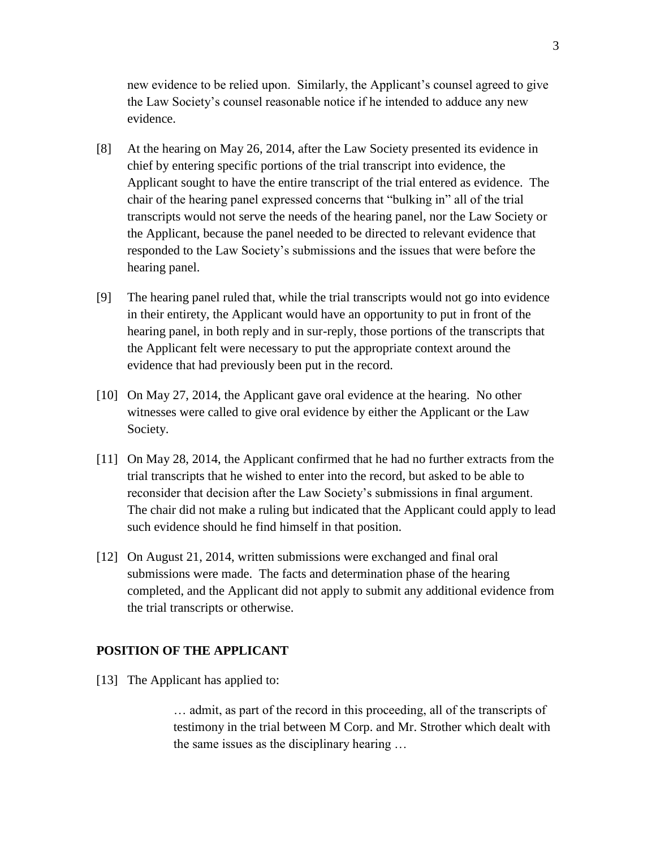new evidence to be relied upon. Similarly, the Applicant's counsel agreed to give the Law Society's counsel reasonable notice if he intended to adduce any new evidence.

- [8] At the hearing on May 26, 2014, after the Law Society presented its evidence in chief by entering specific portions of the trial transcript into evidence, the Applicant sought to have the entire transcript of the trial entered as evidence. The chair of the hearing panel expressed concerns that "bulking in" all of the trial transcripts would not serve the needs of the hearing panel, nor the Law Society or the Applicant, because the panel needed to be directed to relevant evidence that responded to the Law Society's submissions and the issues that were before the hearing panel.
- [9] The hearing panel ruled that, while the trial transcripts would not go into evidence in their entirety, the Applicant would have an opportunity to put in front of the hearing panel, in both reply and in sur-reply, those portions of the transcripts that the Applicant felt were necessary to put the appropriate context around the evidence that had previously been put in the record.
- [10] On May 27, 2014, the Applicant gave oral evidence at the hearing. No other witnesses were called to give oral evidence by either the Applicant or the Law Society.
- [11] On May 28, 2014, the Applicant confirmed that he had no further extracts from the trial transcripts that he wished to enter into the record, but asked to be able to reconsider that decision after the Law Society's submissions in final argument. The chair did not make a ruling but indicated that the Applicant could apply to lead such evidence should he find himself in that position.
- [12] On August 21, 2014, written submissions were exchanged and final oral submissions were made. The facts and determination phase of the hearing completed, and the Applicant did not apply to submit any additional evidence from the trial transcripts or otherwise.

# **POSITION OF THE APPLICANT**

[13] The Applicant has applied to:

… admit, as part of the record in this proceeding, all of the transcripts of testimony in the trial between M Corp. and Mr. Strother which dealt with the same issues as the disciplinary hearing …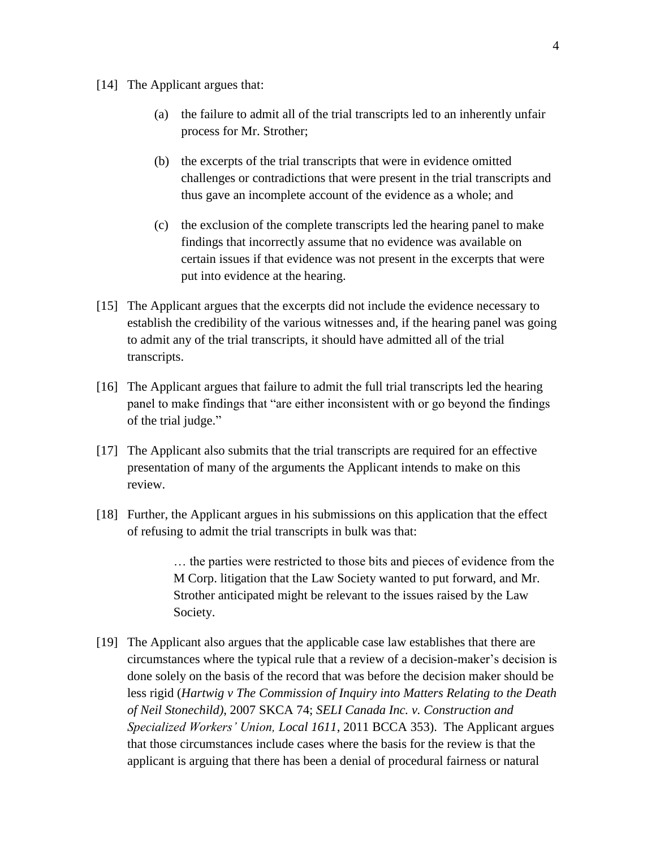- [14] The Applicant argues that:
	- (a) the failure to admit all of the trial transcripts led to an inherently unfair process for Mr. Strother;
	- (b) the excerpts of the trial transcripts that were in evidence omitted challenges or contradictions that were present in the trial transcripts and thus gave an incomplete account of the evidence as a whole; and
	- (c) the exclusion of the complete transcripts led the hearing panel to make findings that incorrectly assume that no evidence was available on certain issues if that evidence was not present in the excerpts that were put into evidence at the hearing.
- [15] The Applicant argues that the excerpts did not include the evidence necessary to establish the credibility of the various witnesses and, if the hearing panel was going to admit any of the trial transcripts, it should have admitted all of the trial transcripts.
- [16] The Applicant argues that failure to admit the full trial transcripts led the hearing panel to make findings that "are either inconsistent with or go beyond the findings of the trial judge."
- [17] The Applicant also submits that the trial transcripts are required for an effective presentation of many of the arguments the Applicant intends to make on this review.
- [18] Further, the Applicant argues in his submissions on this application that the effect of refusing to admit the trial transcripts in bulk was that:

… the parties were restricted to those bits and pieces of evidence from the M Corp. litigation that the Law Society wanted to put forward, and Mr. Strother anticipated might be relevant to the issues raised by the Law Society.

[19] The Applicant also argues that the applicable case law establishes that there are circumstances where the typical rule that a review of a decision-maker's decision is done solely on the basis of the record that was before the decision maker should be less rigid (*Hartwig v The Commission of Inquiry into Matters Relating to the Death of Neil Stonechild)*, 2007 SKCA 74; *SELI Canada Inc. v. Construction and Specialized Workers' Union, Local 1611*, 2011 BCCA 353). The Applicant argues that those circumstances include cases where the basis for the review is that the applicant is arguing that there has been a denial of procedural fairness or natural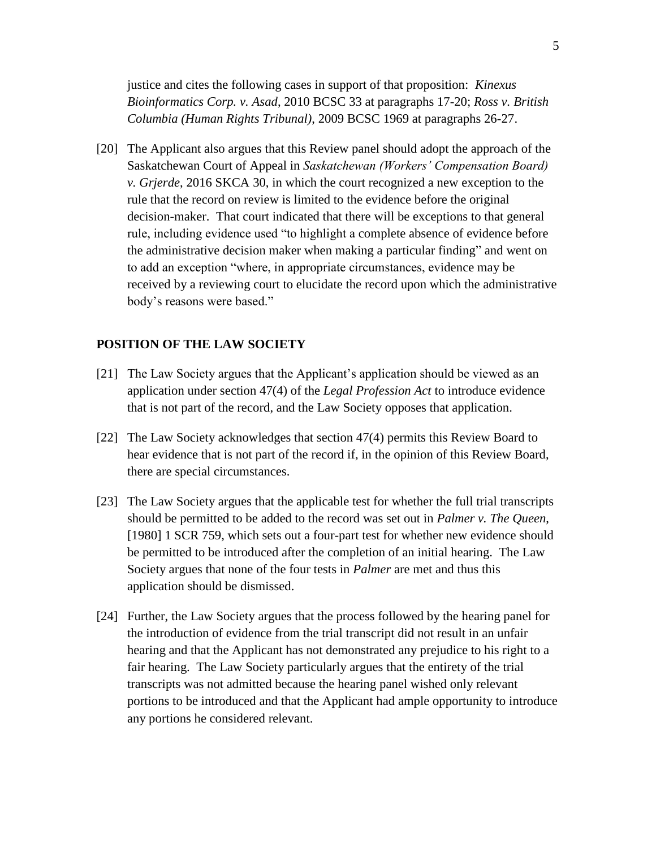justice and cites the following cases in support of that proposition: *Kinexus Bioinformatics Corp. v. Asad*, 2010 BCSC 33 at paragraphs 17-20; *Ross v. British Columbia (Human Rights Tribunal)*, 2009 BCSC 1969 at paragraphs 26-27.

[20] The Applicant also argues that this Review panel should adopt the approach of the Saskatchewan Court of Appeal in *Saskatchewan (Workers' Compensation Board) v. Grjerde*, 2016 SKCA 30, in which the court recognized a new exception to the rule that the record on review is limited to the evidence before the original decision-maker. That court indicated that there will be exceptions to that general rule, including evidence used "to highlight a complete absence of evidence before the administrative decision maker when making a particular finding" and went on to add an exception "where, in appropriate circumstances, evidence may be received by a reviewing court to elucidate the record upon which the administrative body's reasons were based."

# **POSITION OF THE LAW SOCIETY**

- [21] The Law Society argues that the Applicant's application should be viewed as an application under section 47(4) of the *Legal Profession Act* to introduce evidence that is not part of the record, and the Law Society opposes that application.
- [22] The Law Society acknowledges that section 47(4) permits this Review Board to hear evidence that is not part of the record if, in the opinion of this Review Board, there are special circumstances.
- [23] The Law Society argues that the applicable test for whether the full trial transcripts should be permitted to be added to the record was set out in *Palmer v. The Queen*, [1980] 1 SCR 759, which sets out a four-part test for whether new evidence should be permitted to be introduced after the completion of an initial hearing. The Law Society argues that none of the four tests in *Palmer* are met and thus this application should be dismissed.
- [24] Further, the Law Society argues that the process followed by the hearing panel for the introduction of evidence from the trial transcript did not result in an unfair hearing and that the Applicant has not demonstrated any prejudice to his right to a fair hearing. The Law Society particularly argues that the entirety of the trial transcripts was not admitted because the hearing panel wished only relevant portions to be introduced and that the Applicant had ample opportunity to introduce any portions he considered relevant.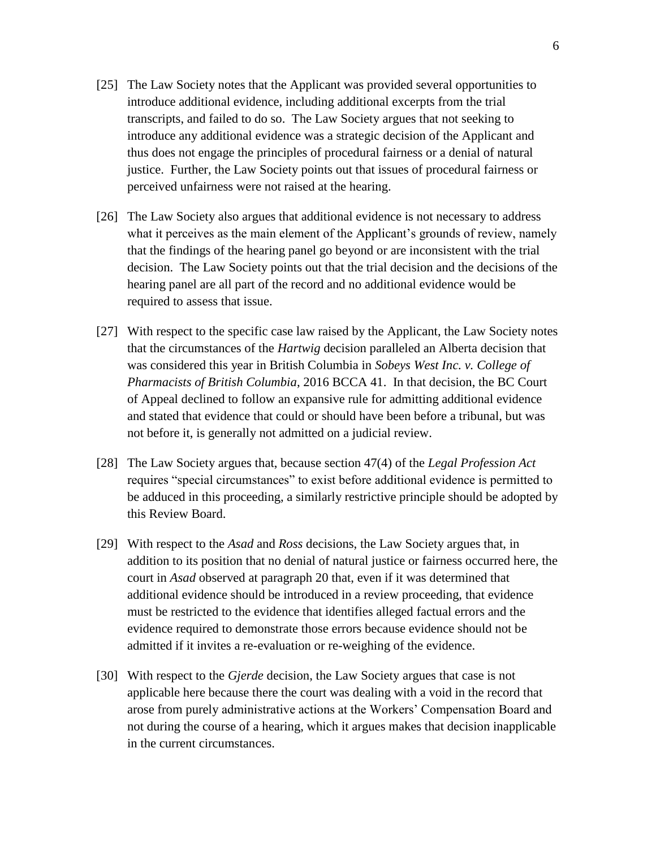- [25] The Law Society notes that the Applicant was provided several opportunities to introduce additional evidence, including additional excerpts from the trial transcripts, and failed to do so. The Law Society argues that not seeking to introduce any additional evidence was a strategic decision of the Applicant and thus does not engage the principles of procedural fairness or a denial of natural justice. Further, the Law Society points out that issues of procedural fairness or perceived unfairness were not raised at the hearing.
- [26] The Law Society also argues that additional evidence is not necessary to address what it perceives as the main element of the Applicant's grounds of review, namely that the findings of the hearing panel go beyond or are inconsistent with the trial decision. The Law Society points out that the trial decision and the decisions of the hearing panel are all part of the record and no additional evidence would be required to assess that issue.
- [27] With respect to the specific case law raised by the Applicant, the Law Society notes that the circumstances of the *Hartwig* decision paralleled an Alberta decision that was considered this year in British Columbia in *Sobeys West Inc. v. College of Pharmacists of British Columbia*, 2016 BCCA 41. In that decision, the BC Court of Appeal declined to follow an expansive rule for admitting additional evidence and stated that evidence that could or should have been before a tribunal, but was not before it, is generally not admitted on a judicial review.
- [28] The Law Society argues that, because section 47(4) of the *Legal Profession Act* requires "special circumstances" to exist before additional evidence is permitted to be adduced in this proceeding, a similarly restrictive principle should be adopted by this Review Board.
- [29] With respect to the *Asad* and *Ross* decisions, the Law Society argues that, in addition to its position that no denial of natural justice or fairness occurred here, the court in *Asad* observed at paragraph 20 that, even if it was determined that additional evidence should be introduced in a review proceeding, that evidence must be restricted to the evidence that identifies alleged factual errors and the evidence required to demonstrate those errors because evidence should not be admitted if it invites a re-evaluation or re-weighing of the evidence.
- [30] With respect to the *Gjerde* decision, the Law Society argues that case is not applicable here because there the court was dealing with a void in the record that arose from purely administrative actions at the Workers' Compensation Board and not during the course of a hearing, which it argues makes that decision inapplicable in the current circumstances.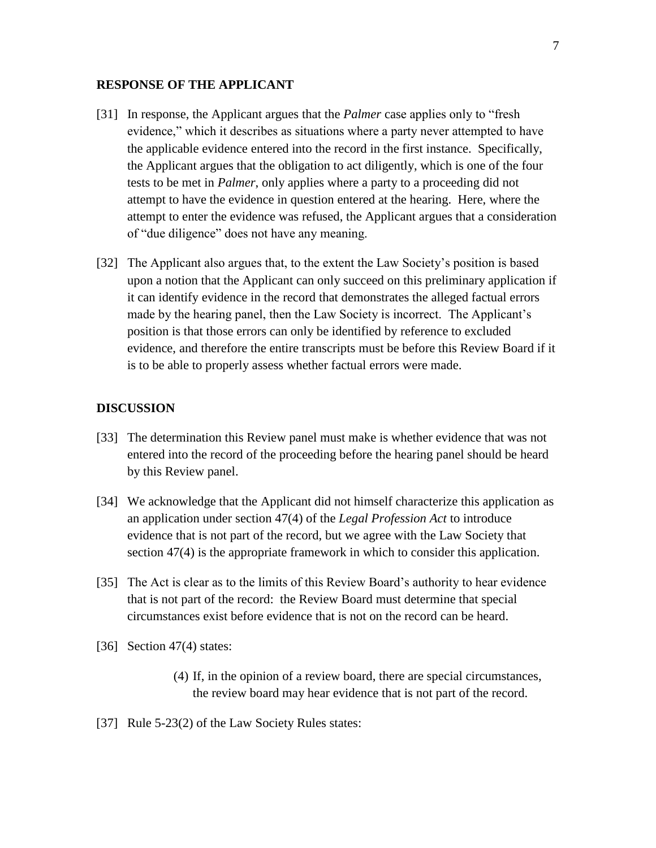### **RESPONSE OF THE APPLICANT**

- [31] In response, the Applicant argues that the *Palmer* case applies only to "fresh evidence," which it describes as situations where a party never attempted to have the applicable evidence entered into the record in the first instance. Specifically, the Applicant argues that the obligation to act diligently, which is one of the four tests to be met in *Palmer*, only applies where a party to a proceeding did not attempt to have the evidence in question entered at the hearing. Here, where the attempt to enter the evidence was refused, the Applicant argues that a consideration of "due diligence" does not have any meaning.
- [32] The Applicant also argues that, to the extent the Law Society's position is based upon a notion that the Applicant can only succeed on this preliminary application if it can identify evidence in the record that demonstrates the alleged factual errors made by the hearing panel, then the Law Society is incorrect. The Applicant's position is that those errors can only be identified by reference to excluded evidence, and therefore the entire transcripts must be before this Review Board if it is to be able to properly assess whether factual errors were made.

### **DISCUSSION**

- [33] The determination this Review panel must make is whether evidence that was not entered into the record of the proceeding before the hearing panel should be heard by this Review panel.
- [34] We acknowledge that the Applicant did not himself characterize this application as an application under section 47(4) of the *Legal Profession Act* to introduce evidence that is not part of the record, but we agree with the Law Society that section 47(4) is the appropriate framework in which to consider this application.
- [35] The Act is clear as to the limits of this Review Board's authority to hear evidence that is not part of the record: the Review Board must determine that special circumstances exist before evidence that is not on the record can be heard.
- [36] Section 47(4) states:
	- (4) If, in the opinion of a review board, there are special circumstances, the review board may hear evidence that is not part of the record.
- [37] Rule 5-23(2) of the Law Society Rules states: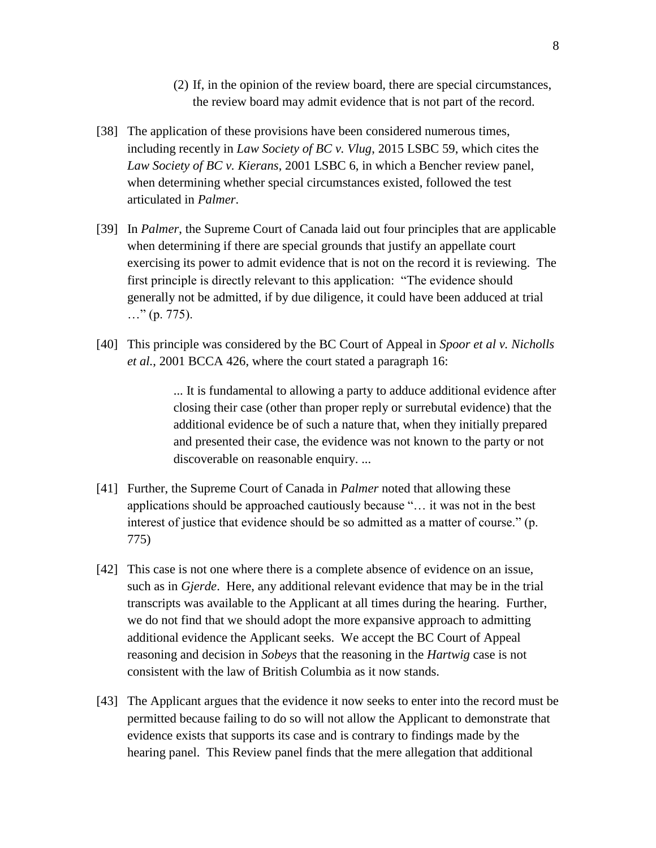- (2) If, in the opinion of the review board, there are special circumstances, the review board may admit evidence that is not part of the record.
- [38] The application of these provisions have been considered numerous times, including recently in *Law Society of BC v. Vlug*, 2015 LSBC 59, which cites the *Law Society of BC v. Kierans*, 2001 LSBC 6, in which a Bencher review panel, when determining whether special circumstances existed, followed the test articulated in *Palmer*.
- [39] In *Palmer*, the Supreme Court of Canada laid out four principles that are applicable when determining if there are special grounds that justify an appellate court exercising its power to admit evidence that is not on the record it is reviewing. The first principle is directly relevant to this application: "The evidence should generally not be admitted, if by due diligence, it could have been adduced at trial  $\ldots$ " (p. 775).
- [40] This principle was considered by the BC Court of Appeal in *Spoor et al v. Nicholls et al.*, 2001 BCCA 426, where the court stated a paragraph 16:

... It is fundamental to allowing a party to adduce additional evidence after closing their case (other than proper reply or surrebutal evidence) that the additional evidence be of such a nature that, when they initially prepared and presented their case, the evidence was not known to the party or not discoverable on reasonable enquiry. ...

- [41] Further, the Supreme Court of Canada in *Palmer* noted that allowing these applications should be approached cautiously because "… it was not in the best interest of justice that evidence should be so admitted as a matter of course." (p. 775)
- [42] This case is not one where there is a complete absence of evidence on an issue, such as in *Gjerde*. Here, any additional relevant evidence that may be in the trial transcripts was available to the Applicant at all times during the hearing. Further, we do not find that we should adopt the more expansive approach to admitting additional evidence the Applicant seeks. We accept the BC Court of Appeal reasoning and decision in *Sobeys* that the reasoning in the *Hartwig* case is not consistent with the law of British Columbia as it now stands.
- [43] The Applicant argues that the evidence it now seeks to enter into the record must be permitted because failing to do so will not allow the Applicant to demonstrate that evidence exists that supports its case and is contrary to findings made by the hearing panel. This Review panel finds that the mere allegation that additional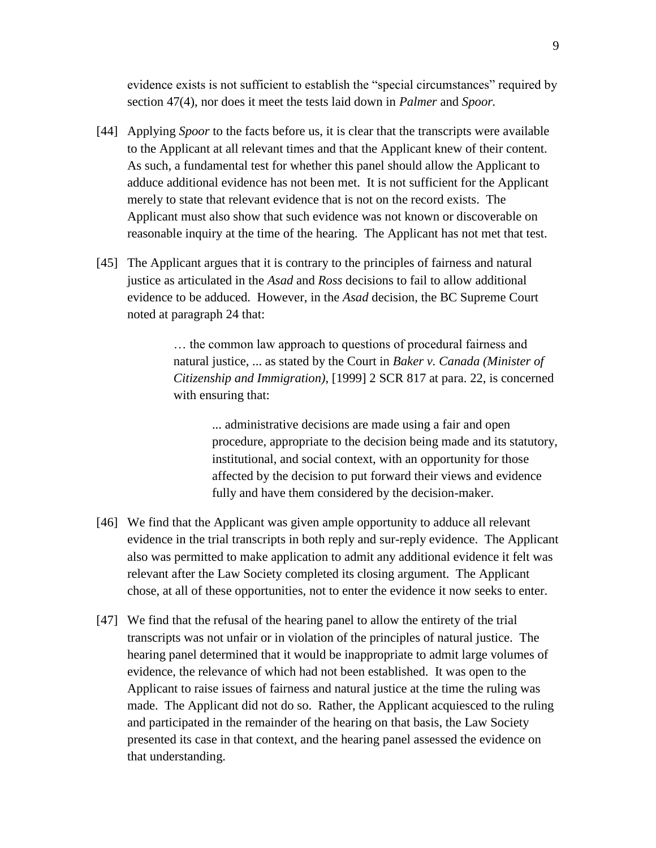evidence exists is not sufficient to establish the "special circumstances" required by section 47(4), nor does it meet the tests laid down in *Palmer* and *Spoor.*

- [44] Applying *Spoor* to the facts before us, it is clear that the transcripts were available to the Applicant at all relevant times and that the Applicant knew of their content. As such, a fundamental test for whether this panel should allow the Applicant to adduce additional evidence has not been met. It is not sufficient for the Applicant merely to state that relevant evidence that is not on the record exists. The Applicant must also show that such evidence was not known or discoverable on reasonable inquiry at the time of the hearing. The Applicant has not met that test.
- [45] The Applicant argues that it is contrary to the principles of fairness and natural justice as articulated in the *Asad* and *Ross* decisions to fail to allow additional evidence to be adduced. However, in the *Asad* decision, the BC Supreme Court noted at paragraph 24 that:

… the common law approach to questions of procedural fairness and natural justice, ... as stated by the Court in *Baker v. Canada (Minister of Citizenship and Immigration)*, [1999] 2 SCR 817 at para. 22, is concerned with ensuring that:

... administrative decisions are made using a fair and open procedure, appropriate to the decision being made and its statutory, institutional, and social context, with an opportunity for those affected by the decision to put forward their views and evidence fully and have them considered by the decision-maker.

- [46] We find that the Applicant was given ample opportunity to adduce all relevant evidence in the trial transcripts in both reply and sur-reply evidence. The Applicant also was permitted to make application to admit any additional evidence it felt was relevant after the Law Society completed its closing argument. The Applicant chose, at all of these opportunities, not to enter the evidence it now seeks to enter.
- [47] We find that the refusal of the hearing panel to allow the entirety of the trial transcripts was not unfair or in violation of the principles of natural justice. The hearing panel determined that it would be inappropriate to admit large volumes of evidence, the relevance of which had not been established. It was open to the Applicant to raise issues of fairness and natural justice at the time the ruling was made. The Applicant did not do so. Rather, the Applicant acquiesced to the ruling and participated in the remainder of the hearing on that basis, the Law Society presented its case in that context, and the hearing panel assessed the evidence on that understanding.